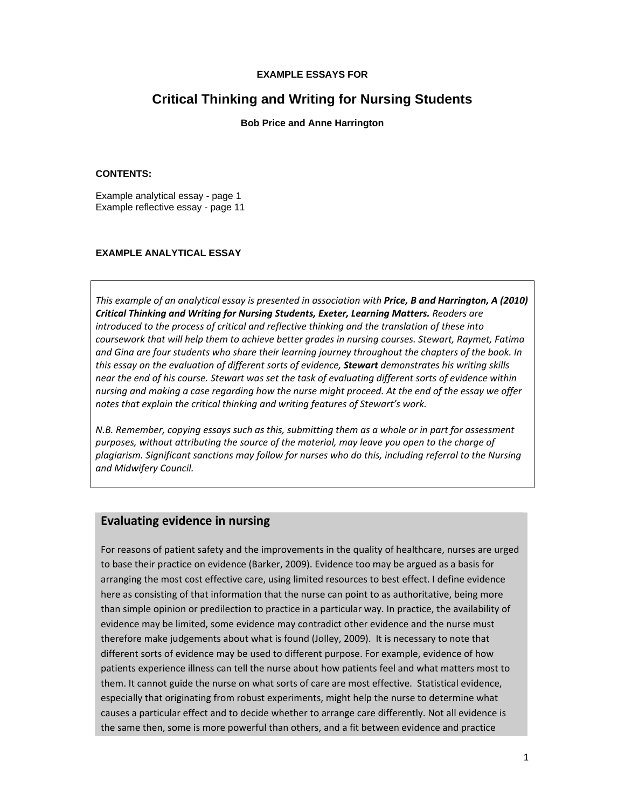#### **EXAMPLE ESSAYS FOR**

# **Critical Thinking and Writing for Nursing Students**

**Bob Price and Anne Harrington** 

#### **CONTENTS:**

Example analytical essay - page 1 Example reflective essay - page 11

#### **EXAMPLE ANALYTICAL ESSAY**

*This example of an analytical essay is presented in association with Price, B and Harrington, A (2010) Critical Thinking and Writing for Nursing Students, Exeter, Learning Matters. Readers are introduced to the process of critical and reflective thinking and the translation of these into coursework that will help them to achieve better grades in nursing courses. Stewart, Raymet, Fatima and Gina are four students who share their learning journey throughout the chapters of the book. In this essay on the evaluation of different sorts of evidence, Stewart demonstrates his writing skills* near the end of his course. Stewart was set the task of evaluating different sorts of evidence within nursing and making a case regarding how the nurse might proceed. At the end of the essay we offer *notes that explain the critical thinking and writing features of Stewart's work.*

*N.B. Remember, copying essays such as this, submitting them as a whole or in part for assessment purposes, without attributing the source of the material, may leave you open to the charge of plagiarism. Significant sanctions may follow for nurses who do this, including referral to the Nursing and Midwifery Council.*

### **Evaluating evidence in nursing**

For reasons of patient safety and the improvements in the quality of healthcare, nurses are urged to base their practice on evidence (Barker, 2009). Evidence too may be argued as a basis for arranging the most cost effective care, using limited resources to best effect. I define evidence here as consisting of that information that the nurse can point to as authoritative, being more than simple opinion or predilection to practice in a particular way. In practice, the availability of evidence may be limited, some evidence may contradict other evidence and the nurse must therefore make judgements about what is found (Jolley, 2009). It is necessary to note that different sorts of evidence may be used to different purpose. For example, evidence of how patients experience illness can tell the nurse about how patients feel and what matters most to them. It cannot guide the nurse on what sorts of care are most effective. Statistical evidence, especially that originating from robust experiments, might help the nurse to determine what causes a particular effect and to decide whether to arrange care differently. Not all evidence is the same then, some is more powerful than others, and a fit between evidence and practice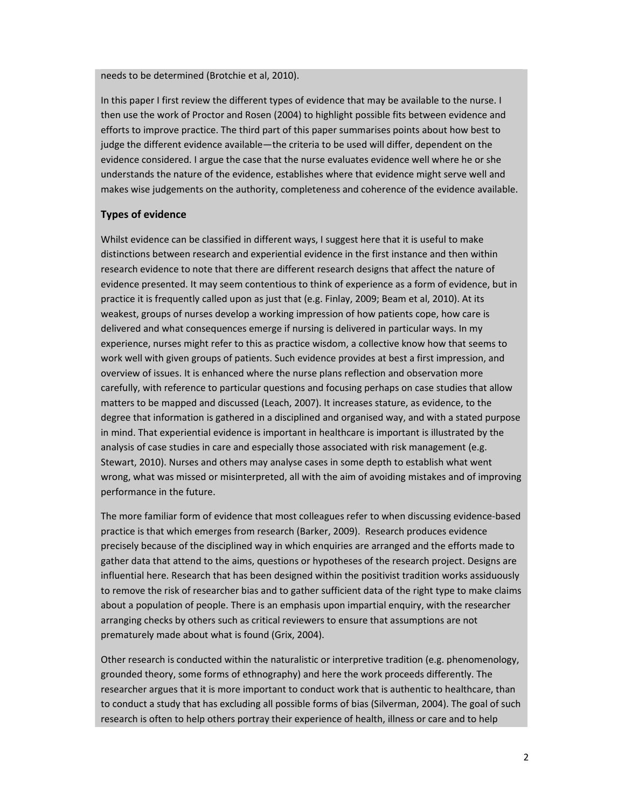needs to be determined (Brotchie et al, 2010).

In this paper I first review the different types of evidence that may be available to the nurse. I then use the work of Proctor and Rosen (2004) to highlight possible fits between evidence and efforts to improve practice. The third part of this paper summarises points about how best to judge the different evidence available—the criteria to be used will differ, dependent on the evidence considered. I argue the case that the nurse evaluates evidence well where he or she understands the nature of the evidence, establishes where that evidence might serve well and makes wise judgements on the authority, completeness and coherence of the evidence available.

### **Types of evidence**

Whilst evidence can be classified in different ways, I suggest here that it is useful to make distinctions between research and experiential evidence in the first instance and then within research evidence to note that there are different research designs that affect the nature of evidence presented. It may seem contentious to think of experience as a form of evidence, but in practice it is frequently called upon as just that (e.g. Finlay, 2009; Beam et al, 2010). At its weakest, groups of nurses develop a working impression of how patients cope, how care is delivered and what consequences emerge if nursing is delivered in particular ways. In my experience, nurses might refer to this as practice wisdom, a collective know how that seems to work well with given groups of patients. Such evidence provides at best a first impression, and overview of issues. It is enhanced where the nurse plans reflection and observation more carefully, with reference to particular questions and focusing perhaps on case studies that allow matters to be mapped and discussed (Leach, 2007). It increases stature, as evidence, to the degree that information is gathered in a disciplined and organised way, and with a stated purpose in mind. That experiential evidence is important in healthcare is important is illustrated by the analysis of case studies in care and especially those associated with risk management (e.g. Stewart, 2010). Nurses and others may analyse cases in some depth to establish what went wrong, what was missed or misinterpreted, all with the aim of avoiding mistakes and of improving performance in the future.

The more familiar form of evidence that most colleagues refer to when discussing evidence-based practice is that which emerges from research (Barker, 2009). Research produces evidence precisely because of the disciplined way in which enquiries are arranged and the efforts made to gather data that attend to the aims, questions or hypotheses of the research project. Designs are influential here. Research that has been designed within the positivist tradition works assiduously to remove the risk of researcher bias and to gather sufficient data of the right type to make claims about a population of people. There is an emphasis upon impartial enquiry, with the researcher arranging checks by others such as critical reviewers to ensure that assumptions are not prematurely made about what is found (Grix, 2004).

Other research is conducted within the naturalistic or interpretive tradition (e.g. phenomenology, grounded theory, some forms of ethnography) and here the work proceeds differently. The researcher argues that it is more important to conduct work that is authentic to healthcare, than to conduct a study that has excluding all possible forms of bias (Silverman, 2004). The goal of such research is often to help others portray their experience of health, illness or care and to help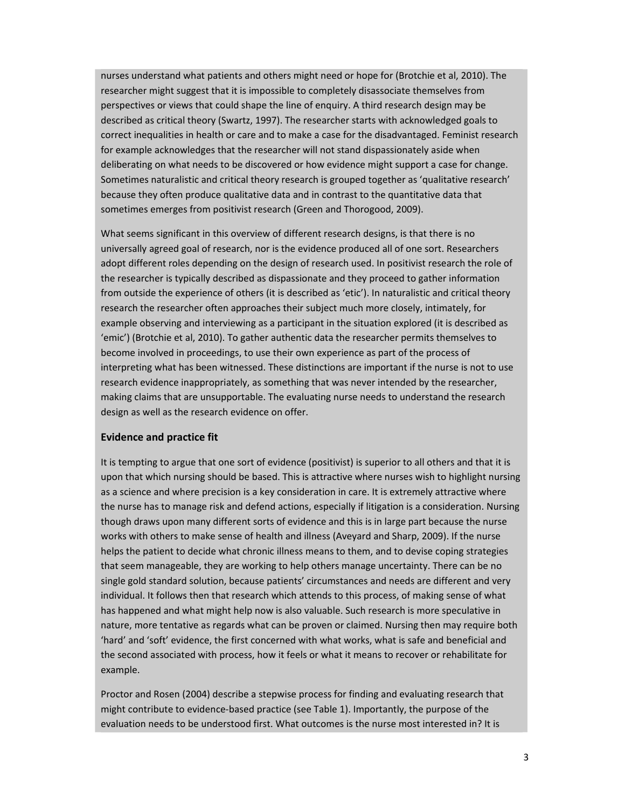nurses understand what patients and others might need or hope for (Brotchie et al, 2010). The researcher might suggest that it is impossible to completely disassociate themselves from perspectives or views that could shape the line of enquiry. A third research design may be described as critical theory (Swartz, 1997). The researcher starts with acknowledged goals to correct inequalities in health or care and to make a case for the disadvantaged. Feminist research for example acknowledges that the researcher will not stand dispassionately aside when deliberating on what needs to be discovered or how evidence might support a case for change. Sometimes naturalistic and critical theory research is grouped together as 'qualitative research' because they often produce qualitative data and in contrast to the quantitative data that sometimes emerges from positivist research (Green and Thorogood, 2009).

What seems significant in this overview of different research designs, is that there is no universally agreed goal of research, nor is the evidence produced all of one sort. Researchers adopt different roles depending on the design of research used. In positivist research the role of the researcher is typically described as dispassionate and they proceed to gather information from outside the experience of others (it is described as 'etic'). In naturalistic and critical theory research the researcher often approaches their subject much more closely, intimately, for example observing and interviewing as a participant in the situation explored (it is described as 'emic') (Brotchie et al, 2010). To gather authentic data the researcher permits themselves to become involved in proceedings, to use their own experience as part of the process of interpreting what has been witnessed. These distinctions are important if the nurse is not to use research evidence inappropriately, as something that was never intended by the researcher, making claims that are unsupportable. The evaluating nurse needs to understand the research design as well as the research evidence on offer.

### **Evidence and practice fit**

It is tempting to argue that one sort of evidence (positivist) is superior to all others and that it is upon that which nursing should be based. This is attractive where nurses wish to highlight nursing as a science and where precision is a key consideration in care. It is extremely attractive where the nurse has to manage risk and defend actions, especially if litigation is a consideration. Nursing though draws upon many different sorts of evidence and this is in large part because the nurse works with others to make sense of health and illness (Aveyard and Sharp, 2009). If the nurse helps the patient to decide what chronic illness means to them, and to devise coping strategies that seem manageable, they are working to help others manage uncertainty. There can be no single gold standard solution, because patients' circumstances and needs are different and very individual. It follows then that research which attends to this process, of making sense of what has happened and what might help now is also valuable. Such research is more speculative in nature, more tentative as regards what can be proven or claimed. Nursing then may require both 'hard' and 'soft' evidence, the first concerned with what works, what is safe and beneficial and the second associated with process, how it feels or what it means to recover or rehabilitate for example.

Proctor and Rosen (2004) describe a stepwise process for finding and evaluating research that might contribute to evidence‐based practice (see Table 1). Importantly, the purpose of the evaluation needs to be understood first. What outcomes is the nurse most interested in? It is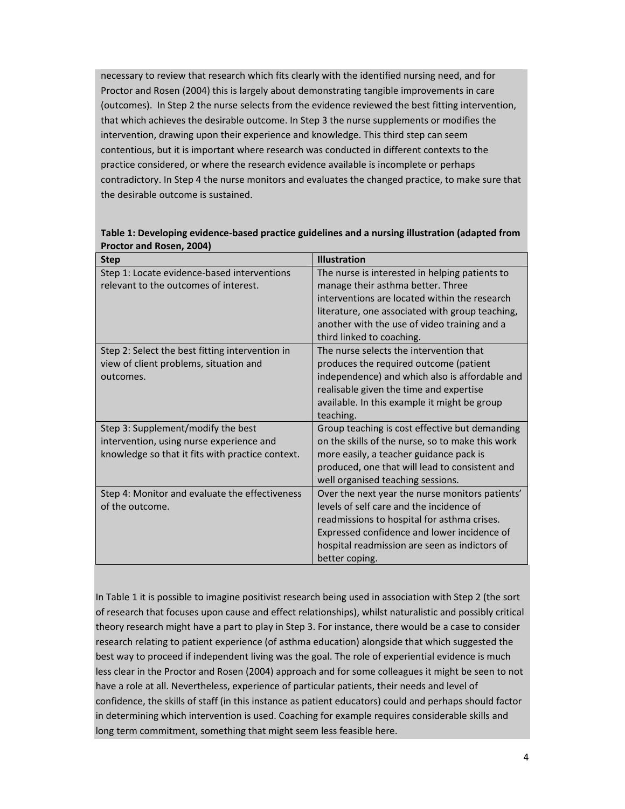necessary to review that research which fits clearly with the identified nursing need, and for Proctor and Rosen (2004) this is largely about demonstrating tangible improvements in care (outcomes). In Step 2 the nurse selects from the evidence reviewed the best fitting intervention, that which achieves the desirable outcome. In Step 3 the nurse supplements or modifies the intervention, drawing upon their experience and knowledge. This third step can seem contentious, but it is important where research was conducted in different contexts to the practice considered, or where the research evidence available is incomplete or perhaps contradictory. In Step 4 the nurse monitors and evaluates the changed practice, to make sure that the desirable outcome is sustained.

| <b>Step</b>                                                                                                                        | <b>Illustration</b>                                                                                                                                                                                                                                                  |
|------------------------------------------------------------------------------------------------------------------------------------|----------------------------------------------------------------------------------------------------------------------------------------------------------------------------------------------------------------------------------------------------------------------|
| Step 1: Locate evidence-based interventions<br>relevant to the outcomes of interest.                                               | The nurse is interested in helping patients to<br>manage their asthma better. Three<br>interventions are located within the research<br>literature, one associated with group teaching,<br>another with the use of video training and a<br>third linked to coaching. |
| Step 2: Select the best fitting intervention in<br>view of client problems, situation and<br>outcomes.                             | The nurse selects the intervention that<br>produces the required outcome (patient<br>independence) and which also is affordable and<br>realisable given the time and expertise<br>available. In this example it might be group<br>teaching.                          |
| Step 3: Supplement/modify the best<br>intervention, using nurse experience and<br>knowledge so that it fits with practice context. | Group teaching is cost effective but demanding<br>on the skills of the nurse, so to make this work<br>more easily, a teacher guidance pack is<br>produced, one that will lead to consistent and<br>well organised teaching sessions.                                 |
| Step 4: Monitor and evaluate the effectiveness<br>of the outcome.                                                                  | Over the next year the nurse monitors patients'<br>levels of self care and the incidence of<br>readmissions to hospital for asthma crises.<br>Expressed confidence and lower incidence of<br>hospital readmission are seen as indictors of<br>better coping.         |

### **Table 1: Developing evidence‐based practice guidelines and a nursing illustration (adapted from Proctor and Rosen, 2004)**

In Table 1 it is possible to imagine positivist research being used in association with Step 2 (the sort of research that focuses upon cause and effect relationships), whilst naturalistic and possibly critical theory research might have a part to play in Step 3. For instance, there would be a case to consider research relating to patient experience (of asthma education) alongside that which suggested the best way to proceed if independent living was the goal. The role of experiential evidence is much less clear in the Proctor and Rosen (2004) approach and for some colleagues it might be seen to not have a role at all. Nevertheless, experience of particular patients, their needs and level of confidence, the skills of staff (in this instance as patient educators) could and perhaps should factor in determining which intervention is used. Coaching for example requires considerable skills and long term commitment, something that might seem less feasible here.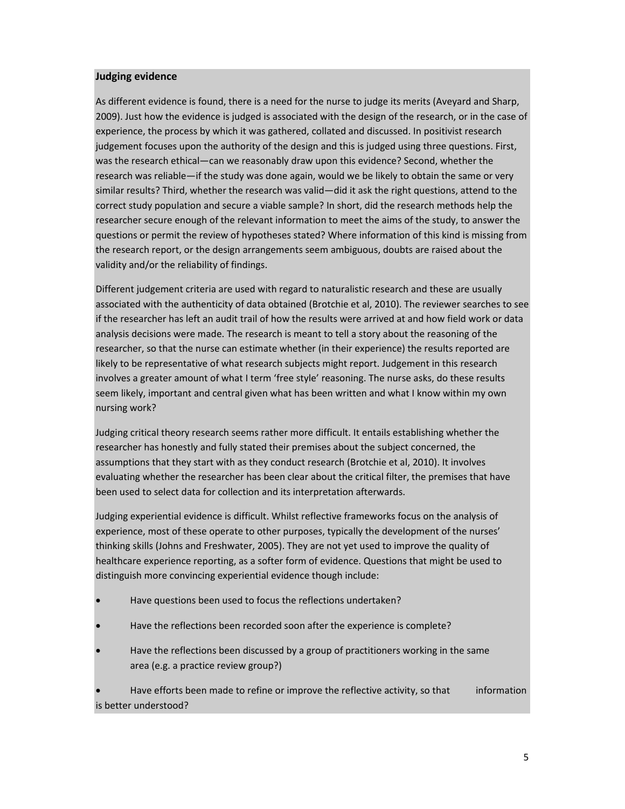### **Judging evidence**

As different evidence is found, there is a need for the nurse to judge its merits (Aveyard and Sharp, 2009). Just how the evidence is judged is associated with the design of the research, or in the case of experience, the process by which it was gathered, collated and discussed. In positivist research judgement focuses upon the authority of the design and this is judged using three questions. First, was the research ethical—can we reasonably draw upon this evidence? Second, whether the research was reliable—if the study was done again, would we be likely to obtain the same or very similar results? Third, whether the research was valid—did it ask the right questions, attend to the correct study population and secure a viable sample? In short, did the research methods help the researcher secure enough of the relevant information to meet the aims of the study, to answer the questions or permit the review of hypotheses stated? Where information of this kind is missing from the research report, or the design arrangements seem ambiguous, doubts are raised about the validity and/or the reliability of findings.

Different judgement criteria are used with regard to naturalistic research and these are usually associated with the authenticity of data obtained (Brotchie et al, 2010). The reviewer searches to see if the researcher has left an audit trail of how the results were arrived at and how field work or data analysis decisions were made. The research is meant to tell a story about the reasoning of the researcher, so that the nurse can estimate whether (in their experience) the results reported are likely to be representative of what research subjects might report. Judgement in this research involves a greater amount of what I term 'free style' reasoning. The nurse asks, do these results seem likely, important and central given what has been written and what I know within my own nursing work?

Judging critical theory research seems rather more difficult. It entails establishing whether the researcher has honestly and fully stated their premises about the subject concerned, the assumptions that they start with as they conduct research (Brotchie et al, 2010). It involves evaluating whether the researcher has been clear about the critical filter, the premises that have been used to select data for collection and its interpretation afterwards.

Judging experiential evidence is difficult. Whilst reflective frameworks focus on the analysis of experience, most of these operate to other purposes, typically the development of the nurses' thinking skills (Johns and Freshwater, 2005). They are not yet used to improve the quality of healthcare experience reporting, as a softer form of evidence. Questions that might be used to distinguish more convincing experiential evidence though include:

- Have questions been used to focus the reflections undertaken?
- Have the reflections been recorded soon after the experience is complete?
- Have the reflections been discussed by a group of practitioners working in the same area (e.g. a practice review group?)

 Have efforts been made to refine or improve the reflective activity, so that information is better understood?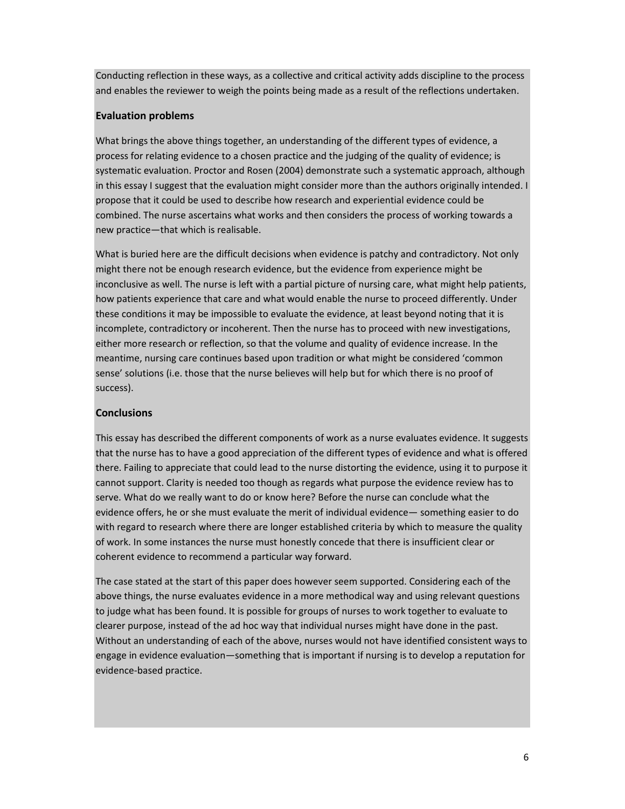Conducting reflection in these ways, as a collective and critical activity adds discipline to the process and enables the reviewer to weigh the points being made as a result of the reflections undertaken.

### **Evaluation problems**

What brings the above things together, an understanding of the different types of evidence, a process for relating evidence to a chosen practice and the judging of the quality of evidence; is systematic evaluation. Proctor and Rosen (2004) demonstrate such a systematic approach, although in this essay I suggest that the evaluation might consider more than the authors originally intended. I propose that it could be used to describe how research and experiential evidence could be combined. The nurse ascertains what works and then considers the process of working towards a new practice—that which is realisable.

What is buried here are the difficult decisions when evidence is patchy and contradictory. Not only might there not be enough research evidence, but the evidence from experience might be inconclusive as well. The nurse is left with a partial picture of nursing care, what might help patients, how patients experience that care and what would enable the nurse to proceed differently. Under these conditions it may be impossible to evaluate the evidence, at least beyond noting that it is incomplete, contradictory or incoherent. Then the nurse has to proceed with new investigations, either more research or reflection, so that the volume and quality of evidence increase. In the meantime, nursing care continues based upon tradition or what might be considered 'common sense' solutions (i.e. those that the nurse believes will help but for which there is no proof of success).

## **Conclusions**

This essay has described the different components of work as a nurse evaluates evidence. It suggests that the nurse has to have a good appreciation of the different types of evidence and what is offered there. Failing to appreciate that could lead to the nurse distorting the evidence, using it to purpose it cannot support. Clarity is needed too though as regards what purpose the evidence review has to serve. What do we really want to do or know here? Before the nurse can conclude what the evidence offers, he or she must evaluate the merit of individual evidence— something easier to do with regard to research where there are longer established criteria by which to measure the quality of work. In some instances the nurse must honestly concede that there is insufficient clear or coherent evidence to recommend a particular way forward.

The case stated at the start of this paper does however seem supported. Considering each of the above things, the nurse evaluates evidence in a more methodical way and using relevant questions to judge what has been found. It is possible for groups of nurses to work together to evaluate to clearer purpose, instead of the ad hoc way that individual nurses might have done in the past. Without an understanding of each of the above, nurses would not have identified consistent ways to engage in evidence evaluation—something that is important if nursing is to develop a reputation for evidence‐based practice.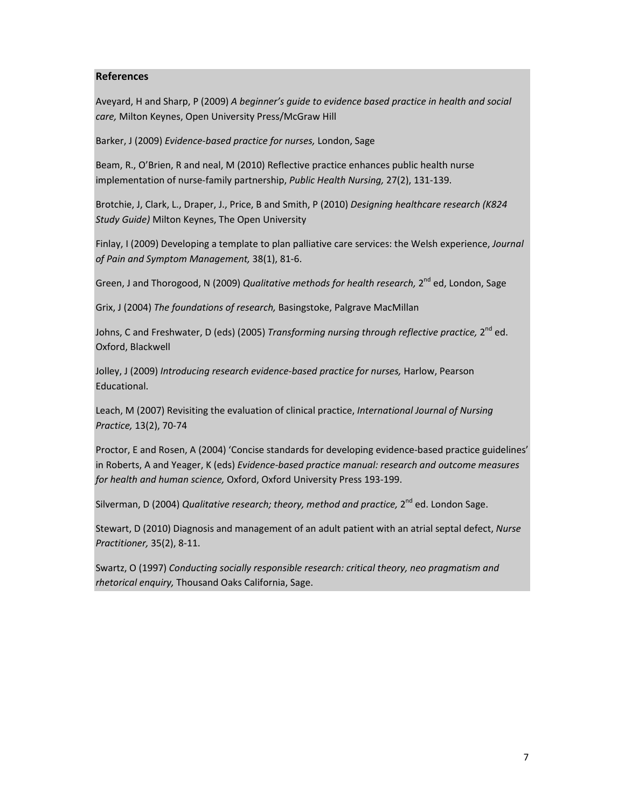### **References**

Aveyard, H and Sharp, P (2009) *A beginner's guide to evidence based practice in health and social care,* Milton Keynes, Open University Press/McGraw Hill

Barker, J (2009) *Evidence‐based practice for nurses,* London, Sage

Beam, R., O'Brien, R and neal, M (2010) Reflective practice enhances public health nurse implementation of nurse‐family partnership, *Public Health Nursing,* 27(2), 131‐139.

Brotchie, J, Clark, L., Draper, J., Price, B and Smith, P (2010) *Designing healthcare research (K824 Study Guide)* Milton Keynes, The Open University

Finlay, I (2009) Developing a template to plan palliative care services: the Welsh experience, *Journal of Pain and Symptom Management,* 38(1), 81‐6.

Green, J and Thorogood, N (2009) *Qualitative methods for health research,* 2nd ed, London, Sage

Grix, J (2004) *The foundations of research,* Basingstoke, Palgrave MacMillan

Johns, C and Freshwater, D (eds) (2005) *Transforming nursing through reflective practice,* 2nd ed. Oxford, Blackwell

Jolley, J (2009) *Introducing research evidence‐based practice for nurses,* Harlow, Pearson Educational.

Leach, M (2007) Revisiting the evaluation of clinical practice, *International Journal of Nursing Practice,* 13(2), 70‐74

Proctor, E and Rosen, A (2004) 'Concise standards for developing evidence‐based practice guidelines' in Roberts, A and Yeager, K (eds) *Evidence‐based practice manual: research and outcome measures for health and human science,* Oxford, Oxford University Press 193‐199.

Silverman, D (2004) *Qualitative research; theory, method and practice,* 2<sup>nd</sup> ed. London Sage.

Stewart, D (2010) Diagnosis and management of an adult patient with an atrial septal defect, *Nurse Practitioner,* 35(2), 8‐11.

Swartz, O (1997) *Conducting socially responsible research: critical theory, neo pragmatism and rhetorical enquiry,* Thousand Oaks California, Sage.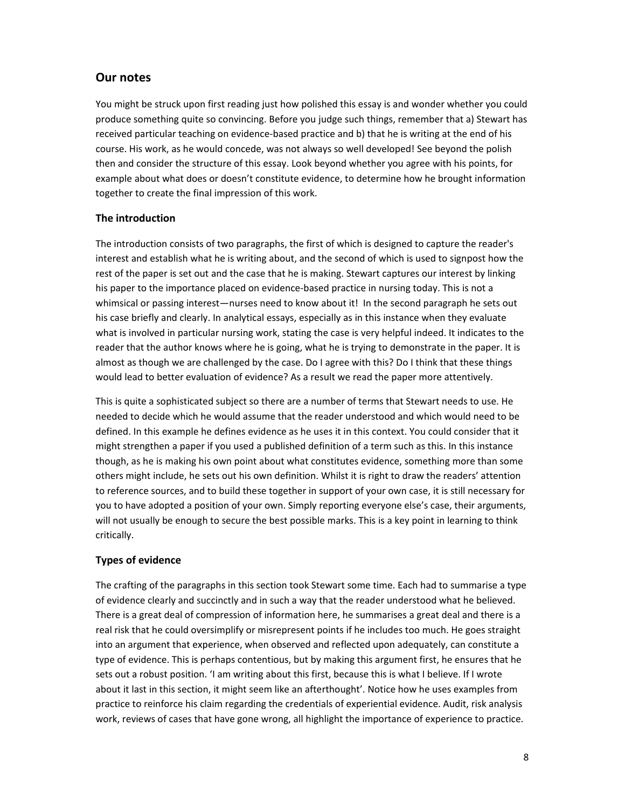## **Our notes**

You might be struck upon first reading just how polished this essay is and wonder whether you could produce something quite so convincing. Before you judge such things, remember that a) Stewart has received particular teaching on evidence‐based practice and b) that he is writing at the end of his course. His work, as he would concede, was not always so well developed! See beyond the polish then and consider the structure of this essay. Look beyond whether you agree with his points, for example about what does or doesn't constitute evidence, to determine how he brought information together to create the final impression of this work.

### **The introduction**

The introduction consists of two paragraphs, the first of which is designed to capture the reader's interest and establish what he is writing about, and the second of which is used to signpost how the rest of the paper is set out and the case that he is making. Stewart captures our interest by linking his paper to the importance placed on evidence-based practice in nursing today. This is not a whimsical or passing interest—nurses need to know about it! In the second paragraph he sets out his case briefly and clearly. In analytical essays, especially as in this instance when they evaluate what is involved in particular nursing work, stating the case is very helpful indeed. It indicates to the reader that the author knows where he is going, what he is trying to demonstrate in the paper. It is almost as though we are challenged by the case. Do I agree with this? Do I think that these things would lead to better evaluation of evidence? As a result we read the paper more attentively.

This is quite a sophisticated subject so there are a number of terms that Stewart needs to use. He needed to decide which he would assume that the reader understood and which would need to be defined. In this example he defines evidence as he uses it in this context. You could consider that it might strengthen a paper if you used a published definition of a term such as this. In this instance though, as he is making his own point about what constitutes evidence, something more than some others might include, he sets out his own definition. Whilst it is right to draw the readers' attention to reference sources, and to build these together in support of your own case, it is still necessary for you to have adopted a position of your own. Simply reporting everyone else's case, their arguments, will not usually be enough to secure the best possible marks. This is a key point in learning to think critically.

### **Types of evidence**

The crafting of the paragraphs in this section took Stewart some time. Each had to summarise a type of evidence clearly and succinctly and in such a way that the reader understood what he believed. There is a great deal of compression of information here, he summarises a great deal and there is a real risk that he could oversimplify or misrepresent points if he includes too much. He goes straight into an argument that experience, when observed and reflected upon adequately, can constitute a type of evidence. This is perhaps contentious, but by making this argument first, he ensures that he sets out a robust position. 'I am writing about this first, because this is what I believe. If I wrote about it last in this section, it might seem like an afterthought'. Notice how he uses examples from practice to reinforce his claim regarding the credentials of experiential evidence. Audit, risk analysis work, reviews of cases that have gone wrong, all highlight the importance of experience to practice.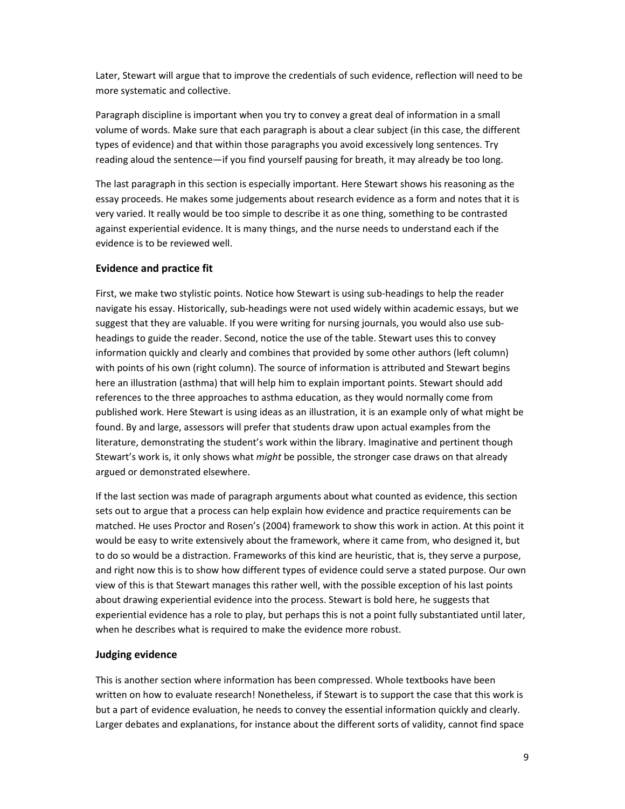Later, Stewart will argue that to improve the credentials of such evidence, reflection will need to be more systematic and collective.

Paragraph discipline is important when you try to convey a great deal of information in a small volume of words. Make sure that each paragraph is about a clear subject (in this case, the different types of evidence) and that within those paragraphs you avoid excessively long sentences. Try reading aloud the sentence—if you find yourself pausing for breath, it may already be too long.

The last paragraph in this section is especially important. Here Stewart shows his reasoning as the essay proceeds. He makes some judgements about research evidence as a form and notes that it is very varied. It really would be too simple to describe it as one thing, something to be contrasted against experiential evidence. It is many things, and the nurse needs to understand each if the evidence is to be reviewed well.

### **Evidence and practice fit**

First, we make two stylistic points. Notice how Stewart is using sub‐headings to help the reader navigate his essay. Historically, sub-headings were not used widely within academic essays, but we suggest that they are valuable. If you were writing for nursing journals, you would also use sub‐ headings to guide the reader. Second, notice the use of the table. Stewart uses this to convey information quickly and clearly and combines that provided by some other authors (left column) with points of his own (right column). The source of information is attributed and Stewart begins here an illustration (asthma) that will help him to explain important points. Stewart should add references to the three approaches to asthma education, as they would normally come from published work. Here Stewart is using ideas as an illustration, it is an example only of what might be found. By and large, assessors will prefer that students draw upon actual examples from the literature, demonstrating the student's work within the library. Imaginative and pertinent though Stewart's work is, it only shows what *might* be possible, the stronger case draws on that already argued or demonstrated elsewhere.

If the last section was made of paragraph arguments about what counted as evidence, this section sets out to argue that a process can help explain how evidence and practice requirements can be matched. He uses Proctor and Rosen's (2004) framework to show this work in action. At this point it would be easy to write extensively about the framework, where it came from, who designed it, but to do so would be a distraction. Frameworks of this kind are heuristic, that is, they serve a purpose, and right now this is to show how different types of evidence could serve a stated purpose. Our own view of this is that Stewart manages this rather well, with the possible exception of his last points about drawing experiential evidence into the process. Stewart is bold here, he suggests that experiential evidence has a role to play, but perhaps this is not a point fully substantiated until later, when he describes what is required to make the evidence more robust.

### **Judging evidence**

This is another section where information has been compressed. Whole textbooks have been written on how to evaluate research! Nonetheless, if Stewart is to support the case that this work is but a part of evidence evaluation, he needs to convey the essential information quickly and clearly. Larger debates and explanations, for instance about the different sorts of validity, cannot find space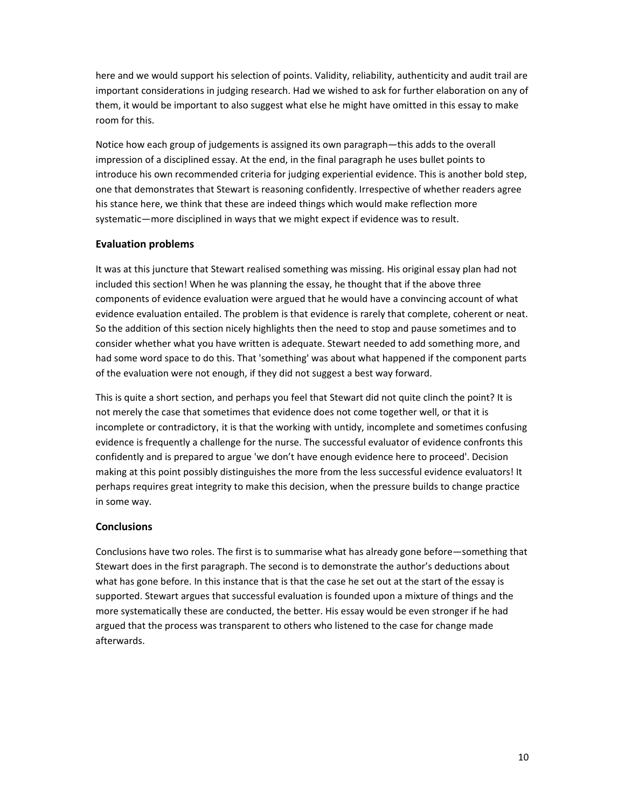here and we would support his selection of points. Validity, reliability, authenticity and audit trail are important considerations in judging research. Had we wished to ask for further elaboration on any of them, it would be important to also suggest what else he might have omitted in this essay to make room for this.

Notice how each group of judgements is assigned its own paragraph—this adds to the overall impression of a disciplined essay. At the end, in the final paragraph he uses bullet points to introduce his own recommended criteria for judging experiential evidence. This is another bold step, one that demonstrates that Stewart is reasoning confidently. Irrespective of whether readers agree his stance here, we think that these are indeed things which would make reflection more systematic—more disciplined in ways that we might expect if evidence was to result.

### **Evaluation problems**

It was at this juncture that Stewart realised something was missing. His original essay plan had not included this section! When he was planning the essay, he thought that if the above three components of evidence evaluation were argued that he would have a convincing account of what evidence evaluation entailed. The problem is that evidence is rarely that complete, coherent or neat. So the addition of this section nicely highlights then the need to stop and pause sometimes and to consider whether what you have written is adequate. Stewart needed to add something more, and had some word space to do this. That 'something' was about what happened if the component parts of the evaluation were not enough, if they did not suggest a best way forward.

This is quite a short section, and perhaps you feel that Stewart did not quite clinch the point? It is not merely the case that sometimes that evidence does not come together well, or that it is incomplete or contradictory, it is that the working with untidy, incomplete and sometimes confusing evidence is frequently a challenge for the nurse. The successful evaluator of evidence confronts this confidently and is prepared to argue 'we don't have enough evidence here to proceed'. Decision making at this point possibly distinguishes the more from the less successful evidence evaluators! It perhaps requires great integrity to make this decision, when the pressure builds to change practice in some way.

### **Conclusions**

Conclusions have two roles. The first is to summarise what has already gone before—something that Stewart does in the first paragraph. The second is to demonstrate the author's deductions about what has gone before. In this instance that is that the case he set out at the start of the essay is supported. Stewart argues that successful evaluation is founded upon a mixture of things and the more systematically these are conducted, the better. His essay would be even stronger if he had argued that the process was transparent to others who listened to the case for change made afterwards.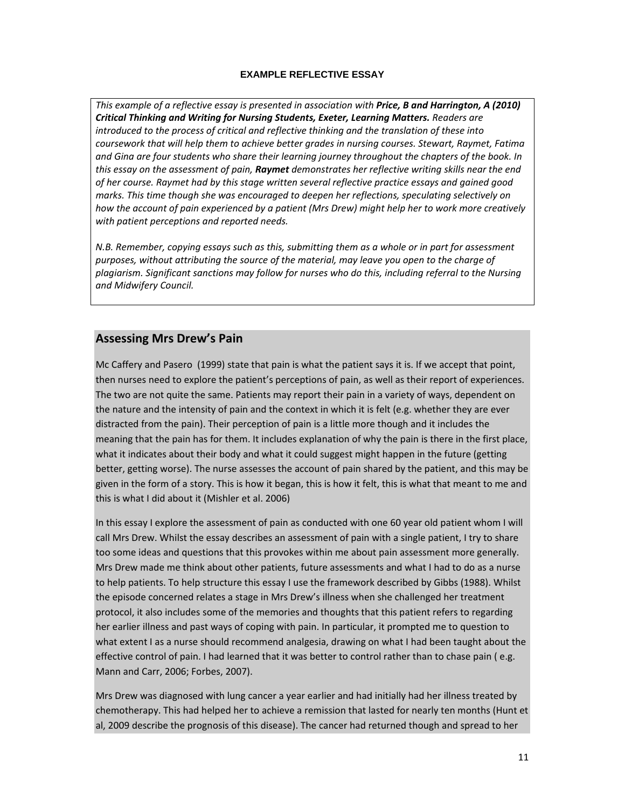### **EXAMPLE REFLECTIVE ESSAY**

*This example of a reflective essay is presented in association with Price, B and Harrington, A (2010) Critical Thinking and Writing for Nursing Students, Exeter, Learning Matters. Readers are introduced to the process of critical and reflective thinking and the translation of these into coursework that will help them to achieve better grades in nursing courses. Stewart, Raymet, Fatima and Gina are four students who share their learning journey throughout the chapters of the book. In this essay on the assessment of pain, Raymet demonstrates her reflective writing skills near the end of her course. Raymet had by this stage written several reflective practice essays and gained good marks. This time though she was encouraged to deepen her reflections, speculating selectively on how the account of pain experienced by a patient (Mrs Drew) might help her to work more creatively with patient perceptions and reported needs.*

*N.B. Remember, copying essays such as this, submitting them as a whole or in part for assessment purposes, without attributing the source of the material, may leave you open to the charge of plagiarism. Significant sanctions may follow for nurses who do this, including referral to the Nursing and Midwifery Council.*

### **Assessing Mrs Drew's Pain**

Mc Caffery and Pasero (1999) state that pain is what the patient says it is. If we accept that point, then nurses need to explore the patient's perceptions of pain, as well as their report of experiences. The two are not quite the same. Patients may report their pain in a variety of ways, dependent on the nature and the intensity of pain and the context in which it is felt (e.g. whether they are ever distracted from the pain). Their perception of pain is a little more though and it includes the meaning that the pain has for them. It includes explanation of why the pain is there in the first place, what it indicates about their body and what it could suggest might happen in the future (getting better, getting worse). The nurse assesses the account of pain shared by the patient, and this may be given in the form of a story. This is how it began, this is how it felt, this is what that meant to me and this is what I did about it (Mishler et al. 2006)

In this essay I explore the assessment of pain as conducted with one 60 year old patient whom I will call Mrs Drew. Whilst the essay describes an assessment of pain with a single patient, I try to share too some ideas and questions that this provokes within me about pain assessment more generally. Mrs Drew made me think about other patients, future assessments and what I had to do as a nurse to help patients. To help structure this essay I use the framework described by Gibbs (1988). Whilst the episode concerned relates a stage in Mrs Drew's illness when she challenged her treatment protocol, it also includes some of the memories and thoughts that this patient refers to regarding her earlier illness and past ways of coping with pain. In particular, it prompted me to question to what extent I as a nurse should recommend analgesia, drawing on what I had been taught about the effective control of pain. I had learned that it was better to control rather than to chase pain ( e.g. Mann and Carr, 2006; Forbes, 2007).

Mrs Drew was diagnosed with lung cancer a year earlier and had initially had her illness treated by chemotherapy. This had helped her to achieve a remission that lasted for nearly ten months (Hunt et al, 2009 describe the prognosis of this disease). The cancer had returned though and spread to her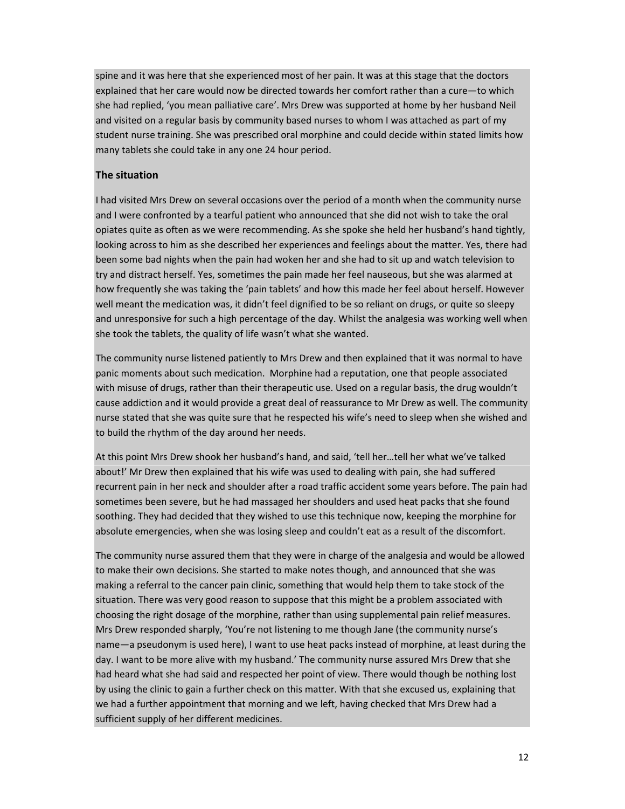spine and it was here that she experienced most of her pain. It was at this stage that the doctors explained that her care would now be directed towards her comfort rather than a cure—to which she had replied, 'you mean palliative care'. Mrs Drew was supported at home by her husband Neil and visited on a regular basis by community based nurses to whom I was attached as part of my student nurse training. She was prescribed oral morphine and could decide within stated limits how many tablets she could take in any one 24 hour period.

### **The situation**

I had visited Mrs Drew on several occasions over the period of a month when the community nurse and I were confronted by a tearful patient who announced that she did not wish to take the oral opiates quite as often as we were recommending. As she spoke she held her husband's hand tightly, looking across to him as she described her experiences and feelings about the matter. Yes, there had been some bad nights when the pain had woken her and she had to sit up and watch television to try and distract herself. Yes, sometimes the pain made her feel nauseous, but she was alarmed at how frequently she was taking the 'pain tablets' and how this made her feel about herself. However well meant the medication was, it didn't feel dignified to be so reliant on drugs, or quite so sleepy and unresponsive for such a high percentage of the day. Whilst the analgesia was working well when she took the tablets, the quality of life wasn't what she wanted.

The community nurse listened patiently to Mrs Drew and then explained that it was normal to have panic moments about such medication. Morphine had a reputation, one that people associated with misuse of drugs, rather than their therapeutic use. Used on a regular basis, the drug wouldn't cause addiction and it would provide a great deal of reassurance to Mr Drew as well. The community nurse stated that she was quite sure that he respected his wife's need to sleep when she wished and to build the rhythm of the day around her needs.

At this point Mrs Drew shook her husband's hand, and said, 'tell her…tell her what we've talked about!' Mr Drew then explained that his wife was used to dealing with pain, she had suffered recurrent pain in her neck and shoulder after a road traffic accident some years before. The pain had sometimes been severe, but he had massaged her shoulders and used heat packs that she found soothing. They had decided that they wished to use this technique now, keeping the morphine for absolute emergencies, when she was losing sleep and couldn't eat as a result of the discomfort.

The community nurse assured them that they were in charge of the analgesia and would be allowed to make their own decisions. She started to make notes though, and announced that she was making a referral to the cancer pain clinic, something that would help them to take stock of the situation. There was very good reason to suppose that this might be a problem associated with choosing the right dosage of the morphine, rather than using supplemental pain relief measures. Mrs Drew responded sharply, 'You're not listening to me though Jane (the community nurse's name—a pseudonym is used here), I want to use heat packs instead of morphine, at least during the day. I want to be more alive with my husband.' The community nurse assured Mrs Drew that she had heard what she had said and respected her point of view. There would though be nothing lost by using the clinic to gain a further check on this matter. With that she excused us, explaining that we had a further appointment that morning and we left, having checked that Mrs Drew had a sufficient supply of her different medicines.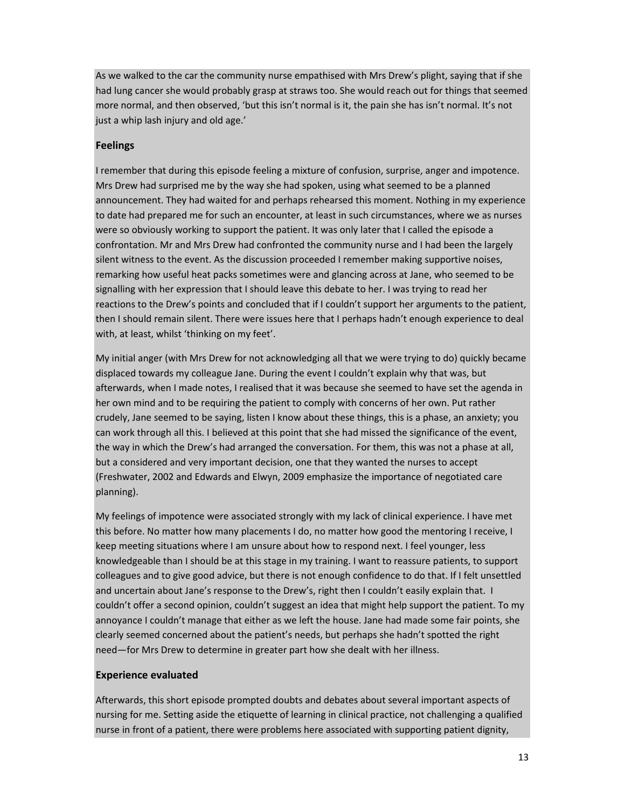As we walked to the car the community nurse empathised with Mrs Drew's plight, saying that if she had lung cancer she would probably grasp at straws too. She would reach out for things that seemed more normal, and then observed, 'but this isn't normal is it, the pain she has isn't normal. It's not just a whip lash injury and old age.'

### **Feelings**

I remember that during this episode feeling a mixture of confusion, surprise, anger and impotence. Mrs Drew had surprised me by the way she had spoken, using what seemed to be a planned announcement. They had waited for and perhaps rehearsed this moment. Nothing in my experience to date had prepared me for such an encounter, at least in such circumstances, where we as nurses were so obviously working to support the patient. It was only later that I called the episode a confrontation. Mr and Mrs Drew had confronted the community nurse and I had been the largely silent witness to the event. As the discussion proceeded I remember making supportive noises, remarking how useful heat packs sometimes were and glancing across at Jane, who seemed to be signalling with her expression that I should leave this debate to her. I was trying to read her reactions to the Drew's points and concluded that if I couldn't support her arguments to the patient, then I should remain silent. There were issues here that I perhaps hadn't enough experience to deal with, at least, whilst 'thinking on my feet'.

My initial anger (with Mrs Drew for not acknowledging all that we were trying to do) quickly became displaced towards my colleague Jane. During the event I couldn't explain why that was, but afterwards, when I made notes, I realised that it was because she seemed to have set the agenda in her own mind and to be requiring the patient to comply with concerns of her own. Put rather crudely, Jane seemed to be saying, listen I know about these things, this is a phase, an anxiety; you can work through all this. I believed at this point that she had missed the significance of the event, the way in which the Drew's had arranged the conversation. For them, this was not a phase at all, but a considered and very important decision, one that they wanted the nurses to accept (Freshwater, 2002 and Edwards and Elwyn, 2009 emphasize the importance of negotiated care planning).

My feelings of impotence were associated strongly with my lack of clinical experience. I have met this before. No matter how many placements I do, no matter how good the mentoring I receive, I keep meeting situations where I am unsure about how to respond next. I feel younger, less knowledgeable than I should be at this stage in my training. I want to reassure patients, to support colleagues and to give good advice, but there is not enough confidence to do that. If I felt unsettled and uncertain about Jane's response to the Drew's, right then I couldn't easily explain that. I couldn't offer a second opinion, couldn't suggest an idea that might help support the patient. To my annoyance I couldn't manage that either as we left the house. Jane had made some fair points, she clearly seemed concerned about the patient's needs, but perhaps she hadn't spotted the right need—for Mrs Drew to determine in greater part how she dealt with her illness.

### **Experience evaluated**

Afterwards, this short episode prompted doubts and debates about several important aspects of nursing for me. Setting aside the etiquette of learning in clinical practice, not challenging a qualified nurse in front of a patient, there were problems here associated with supporting patient dignity,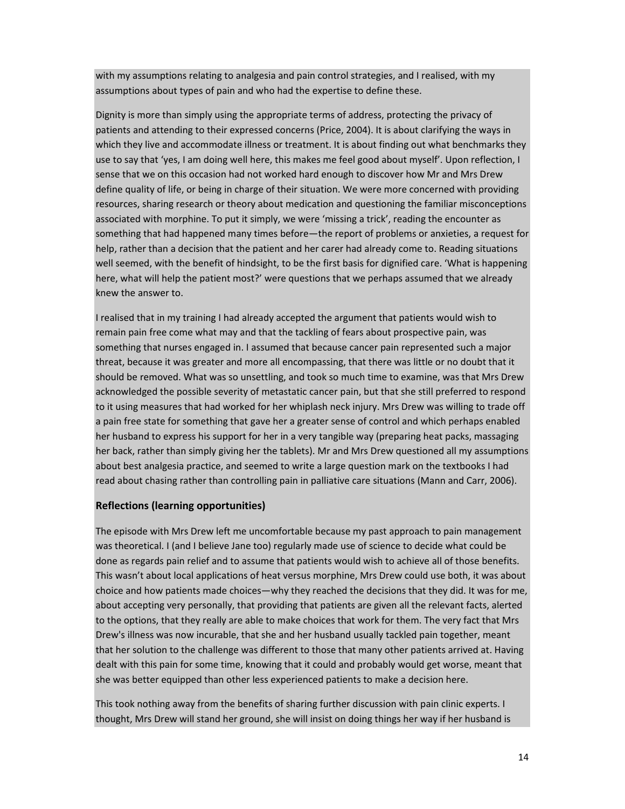with my assumptions relating to analgesia and pain control strategies, and I realised, with my assumptions about types of pain and who had the expertise to define these.

Dignity is more than simply using the appropriate terms of address, protecting the privacy of patients and attending to their expressed concerns (Price, 2004). It is about clarifying the ways in which they live and accommodate illness or treatment. It is about finding out what benchmarks they use to say that 'yes, I am doing well here, this makes me feel good about myself'. Upon reflection, I sense that we on this occasion had not worked hard enough to discover how Mr and Mrs Drew define quality of life, or being in charge of their situation. We were more concerned with providing resources, sharing research or theory about medication and questioning the familiar misconceptions associated with morphine. To put it simply, we were 'missing a trick', reading the encounter as something that had happened many times before—the report of problems or anxieties, a request for help, rather than a decision that the patient and her carer had already come to. Reading situations well seemed, with the benefit of hindsight, to be the first basis for dignified care. 'What is happening here, what will help the patient most?' were questions that we perhaps assumed that we already knew the answer to.

I realised that in my training I had already accepted the argument that patients would wish to remain pain free come what may and that the tackling of fears about prospective pain, was something that nurses engaged in. I assumed that because cancer pain represented such a major threat, because it was greater and more all encompassing, that there was little or no doubt that it should be removed. What was so unsettling, and took so much time to examine, was that Mrs Drew acknowledged the possible severity of metastatic cancer pain, but that she still preferred to respond to it using measures that had worked for her whiplash neck injury. Mrs Drew was willing to trade off a pain free state for something that gave her a greater sense of control and which perhaps enabled her husband to express his support for her in a very tangible way (preparing heat packs, massaging her back, rather than simply giving her the tablets). Mr and Mrs Drew questioned all my assumptions about best analgesia practice, and seemed to write a large question mark on the textbooks I had read about chasing rather than controlling pain in palliative care situations (Mann and Carr, 2006).

### **Reflections (learning opportunities)**

The episode with Mrs Drew left me uncomfortable because my past approach to pain management was theoretical. I (and I believe Jane too) regularly made use of science to decide what could be done as regards pain relief and to assume that patients would wish to achieve all of those benefits. This wasn't about local applications of heat versus morphine, Mrs Drew could use both, it was about choice and how patients made choices—why they reached the decisions that they did. It was for me, about accepting very personally, that providing that patients are given all the relevant facts, alerted to the options, that they really are able to make choices that work for them. The very fact that Mrs Drew's illness was now incurable, that she and her husband usually tackled pain together, meant that her solution to the challenge was different to those that many other patients arrived at. Having dealt with this pain for some time, knowing that it could and probably would get worse, meant that she was better equipped than other less experienced patients to make a decision here.

This took nothing away from the benefits of sharing further discussion with pain clinic experts. I thought, Mrs Drew will stand her ground, she will insist on doing things her way if her husband is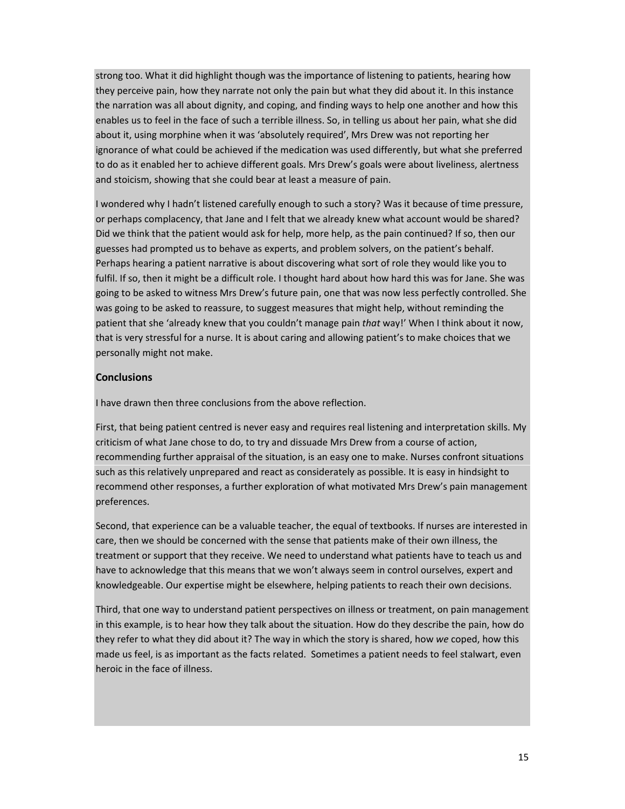strong too. What it did highlight though was the importance of listening to patients, hearing how they perceive pain, how they narrate not only the pain but what they did about it. In this instance the narration was all about dignity, and coping, and finding ways to help one another and how this enables us to feel in the face of such a terrible illness. So, in telling us about her pain, what she did about it, using morphine when it was 'absolutely required', Mrs Drew was not reporting her ignorance of what could be achieved if the medication was used differently, but what she preferred to do as it enabled her to achieve different goals. Mrs Drew's goals were about liveliness, alertness and stoicism, showing that she could bear at least a measure of pain.

I wondered why I hadn't listened carefully enough to such a story? Was it because of time pressure, or perhaps complacency, that Jane and I felt that we already knew what account would be shared? Did we think that the patient would ask for help, more help, as the pain continued? If so, then our guesses had prompted us to behave as experts, and problem solvers, on the patient's behalf. Perhaps hearing a patient narrative is about discovering what sort of role they would like you to fulfil. If so, then it might be a difficult role. I thought hard about how hard this was for Jane. She was going to be asked to witness Mrs Drew's future pain, one that was now less perfectly controlled. She was going to be asked to reassure, to suggest measures that might help, without reminding the patient that she 'already knew that you couldn't manage pain *that* way!' When I think about it now, that is very stressful for a nurse. It is about caring and allowing patient's to make choices that we personally might not make.

### **Conclusions**

I have drawn then three conclusions from the above reflection.

First, that being patient centred is never easy and requires real listening and interpretation skills. My criticism of what Jane chose to do, to try and dissuade Mrs Drew from a course of action, recommending further appraisal of the situation, is an easy one to make. Nurses confront situations such as this relatively unprepared and react as considerately as possible. It is easy in hindsight to recommend other responses, a further exploration of what motivated Mrs Drew's pain management preferences.

Second, that experience can be a valuable teacher, the equal of textbooks. If nurses are interested in care, then we should be concerned with the sense that patients make of their own illness, the treatment or support that they receive. We need to understand what patients have to teach us and have to acknowledge that this means that we won't always seem in control ourselves, expert and knowledgeable. Our expertise might be elsewhere, helping patients to reach their own decisions.

Third, that one way to understand patient perspectives on illness or treatment, on pain management in this example, is to hear how they talk about the situation. How do they describe the pain, how do they refer to what they did about it? The way in which the story is shared, how *we* coped, how this made us feel, is as important as the facts related. Sometimes a patient needs to feel stalwart, even heroic in the face of illness.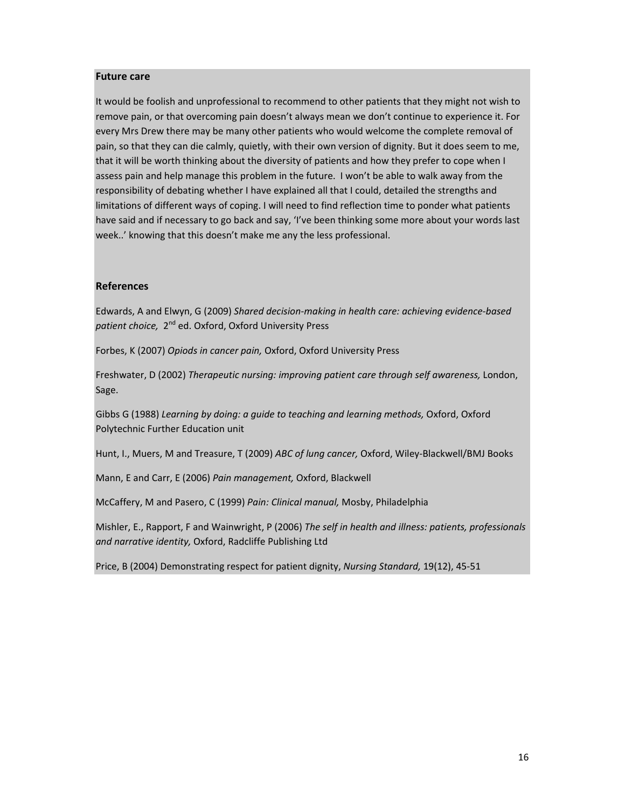#### **Future care**

It would be foolish and unprofessional to recommend to other patients that they might not wish to remove pain, or that overcoming pain doesn't always mean we don't continue to experience it. For every Mrs Drew there may be many other patients who would welcome the complete removal of pain, so that they can die calmly, quietly, with their own version of dignity. But it does seem to me, that it will be worth thinking about the diversity of patients and how they prefer to cope when I assess pain and help manage this problem in the future. I won't be able to walk away from the responsibility of debating whether I have explained all that I could, detailed the strengths and limitations of different ways of coping. I will need to find reflection time to ponder what patients have said and if necessary to go back and say, 'I've been thinking some more about your words last week..' knowing that this doesn't make me any the less professional.

### **References**

Edwards, A and Elwyn, G (2009) *Shared decision‐making in health care: achieving evidence‐based patient choice,* 2nd ed. Oxford, Oxford University Press

Forbes, K (2007) *Opiods in cancer pain,* Oxford, Oxford University Press

Freshwater, D (2002) *Therapeutic nursing: improving patient care through self awareness,* London, Sage.

Gibbs G (1988) *Learning by doing: a guide to teaching and learning methods,* Oxford, Oxford Polytechnic Further Education unit

Hunt, I., Muers, M and Treasure, T (2009) *ABC of lung cancer,* Oxford, Wiley‐Blackwell/BMJ Books

Mann, E and Carr, E (2006) *Pain management,* Oxford, Blackwell

McCaffery, M and Pasero, C (1999) *Pain: Clinical manual,* Mosby, Philadelphia

Mishler, E., Rapport, F and Wainwright, P (2006) *The self in health and illness: patients, professionals and narrative identity,* Oxford, Radcliffe Publishing Ltd

Price, B (2004) Demonstrating respect for patient dignity, *Nursing Standard,* 19(12), 45‐51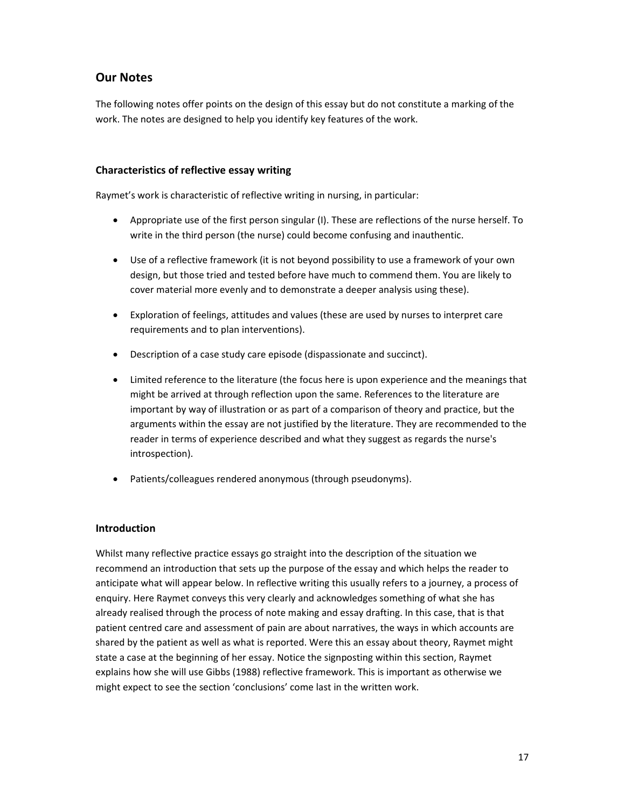## **Our Notes**

The following notes offer points on the design of this essay but do not constitute a marking of the work. The notes are designed to help you identify key features of the work.

### **Characteristics of reflective essay writing**

Raymet's work is characteristic of reflective writing in nursing, in particular:

- Appropriate use of the first person singular (I). These are reflections of the nurse herself. To write in the third person (the nurse) could become confusing and inauthentic.
- Use of a reflective framework (it is not beyond possibility to use a framework of your own design, but those tried and tested before have much to commend them. You are likely to cover material more evenly and to demonstrate a deeper analysis using these).
- Exploration of feelings, attitudes and values (these are used by nurses to interpret care requirements and to plan interventions).
- Description of a case study care episode (dispassionate and succinct).
- Limited reference to the literature (the focus here is upon experience and the meanings that might be arrived at through reflection upon the same. References to the literature are important by way of illustration or as part of a comparison of theory and practice, but the arguments within the essay are not justified by the literature. They are recommended to the reader in terms of experience described and what they suggest as regards the nurse's introspection).
- Patients/colleagues rendered anonymous (through pseudonyms).

### **Introduction**

Whilst many reflective practice essays go straight into the description of the situation we recommend an introduction that sets up the purpose of the essay and which helps the reader to anticipate what will appear below. In reflective writing this usually refers to a journey, a process of enquiry. Here Raymet conveys this very clearly and acknowledges something of what she has already realised through the process of note making and essay drafting. In this case, that is that patient centred care and assessment of pain are about narratives, the ways in which accounts are shared by the patient as well as what is reported. Were this an essay about theory, Raymet might state a case at the beginning of her essay. Notice the signposting within this section, Raymet explains how she will use Gibbs (1988) reflective framework. This is important as otherwise we might expect to see the section 'conclusions' come last in the written work.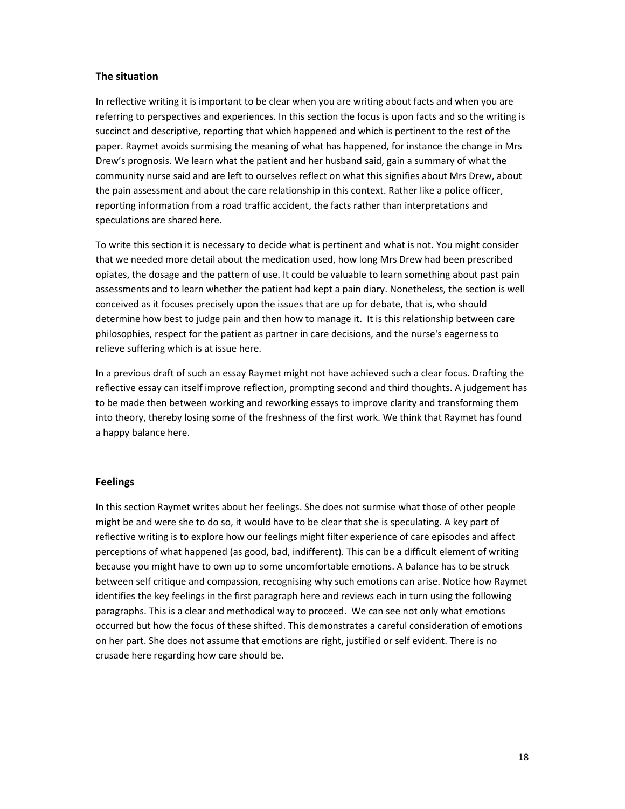### **The situation**

In reflective writing it is important to be clear when you are writing about facts and when you are referring to perspectives and experiences. In this section the focus is upon facts and so the writing is succinct and descriptive, reporting that which happened and which is pertinent to the rest of the paper. Raymet avoids surmising the meaning of what has happened, for instance the change in Mrs Drew's prognosis. We learn what the patient and her husband said, gain a summary of what the community nurse said and are left to ourselves reflect on what this signifies about Mrs Drew, about the pain assessment and about the care relationship in this context. Rather like a police officer, reporting information from a road traffic accident, the facts rather than interpretations and speculations are shared here.

To write this section it is necessary to decide what is pertinent and what is not. You might consider that we needed more detail about the medication used, how long Mrs Drew had been prescribed opiates, the dosage and the pattern of use. It could be valuable to learn something about past pain assessments and to learn whether the patient had kept a pain diary. Nonetheless, the section is well conceived as it focuses precisely upon the issues that are up for debate, that is, who should determine how best to judge pain and then how to manage it. It is this relationship between care philosophies, respect for the patient as partner in care decisions, and the nurse's eagerness to relieve suffering which is at issue here.

In a previous draft of such an essay Raymet might not have achieved such a clear focus. Drafting the reflective essay can itself improve reflection, prompting second and third thoughts. A judgement has to be made then between working and reworking essays to improve clarity and transforming them into theory, thereby losing some of the freshness of the first work. We think that Raymet has found a happy balance here.

### **Feelings**

In this section Raymet writes about her feelings. She does not surmise what those of other people might be and were she to do so, it would have to be clear that she is speculating. A key part of reflective writing is to explore how our feelings might filter experience of care episodes and affect perceptions of what happened (as good, bad, indifferent). This can be a difficult element of writing because you might have to own up to some uncomfortable emotions. A balance has to be struck between self critique and compassion, recognising why such emotions can arise. Notice how Raymet identifies the key feelings in the first paragraph here and reviews each in turn using the following paragraphs. This is a clear and methodical way to proceed. We can see not only what emotions occurred but how the focus of these shifted. This demonstrates a careful consideration of emotions on her part. She does not assume that emotions are right, justified or self evident. There is no crusade here regarding how care should be.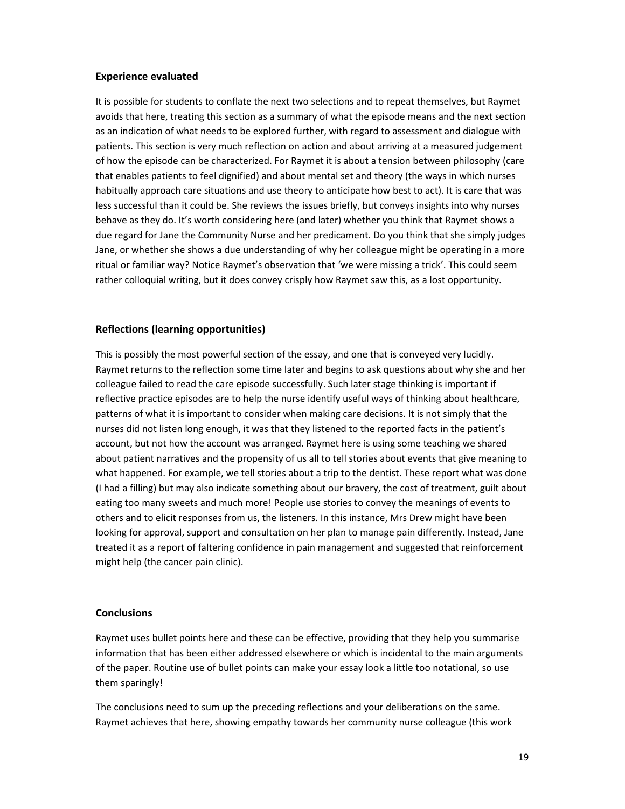### **Experience evaluated**

It is possible for students to conflate the next two selections and to repeat themselves, but Raymet avoids that here, treating this section as a summary of what the episode means and the next section as an indication of what needs to be explored further, with regard to assessment and dialogue with patients. This section is very much reflection on action and about arriving at a measured judgement of how the episode can be characterized. For Raymet it is about a tension between philosophy (care that enables patients to feel dignified) and about mental set and theory (the ways in which nurses habitually approach care situations and use theory to anticipate how best to act). It is care that was less successful than it could be. She reviews the issues briefly, but conveys insights into why nurses behave as they do. It's worth considering here (and later) whether you think that Raymet shows a due regard for Jane the Community Nurse and her predicament. Do you think that she simply judges Jane, or whether she shows a due understanding of why her colleague might be operating in a more ritual or familiar way? Notice Raymet's observation that 'we were missing a trick'. This could seem rather colloquial writing, but it does convey crisply how Raymet saw this, as a lost opportunity.

#### **Reflections (learning opportunities)**

This is possibly the most powerful section of the essay, and one that is conveyed very lucidly. Raymet returns to the reflection some time later and begins to ask questions about why she and her colleague failed to read the care episode successfully. Such later stage thinking is important if reflective practice episodes are to help the nurse identify useful ways of thinking about healthcare, patterns of what it is important to consider when making care decisions. It is not simply that the nurses did not listen long enough, it was that they listened to the reported facts in the patient's account, but not how the account was arranged. Raymet here is using some teaching we shared about patient narratives and the propensity of us all to tell stories about events that give meaning to what happened. For example, we tell stories about a trip to the dentist. These report what was done (I had a filling) but may also indicate something about our bravery, the cost of treatment, guilt about eating too many sweets and much more! People use stories to convey the meanings of events to others and to elicit responses from us, the listeners. In this instance, Mrs Drew might have been looking for approval, support and consultation on her plan to manage pain differently. Instead, Jane treated it as a report of faltering confidence in pain management and suggested that reinforcement might help (the cancer pain clinic).

#### **Conclusions**

Raymet uses bullet points here and these can be effective, providing that they help you summarise information that has been either addressed elsewhere or which is incidental to the main arguments of the paper. Routine use of bullet points can make your essay look a little too notational, so use them sparingly!

The conclusions need to sum up the preceding reflections and your deliberations on the same. Raymet achieves that here, showing empathy towards her community nurse colleague (this work